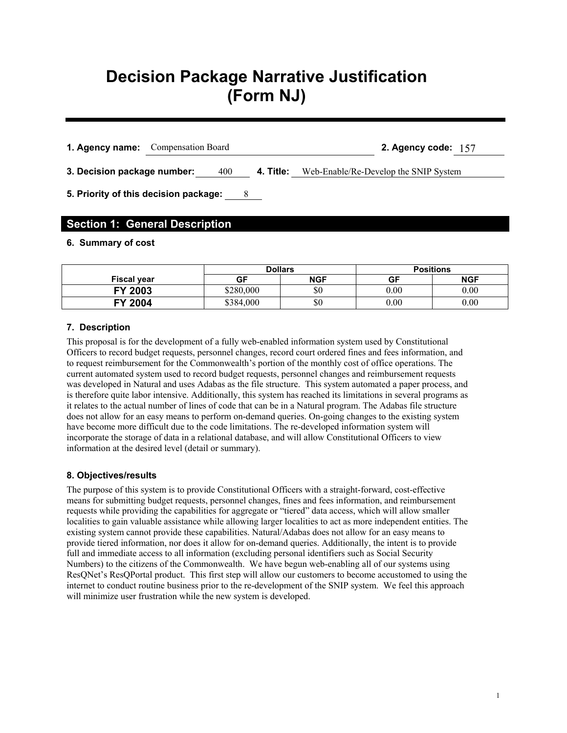# **Decision Package Narrative Justification (Form NJ)**

**1. Agency name:** Compensation Board **2. Agency code:** 157

**3. Decision package number:** 400 **4. Title:** Web-Enable/Re-Develop the SNIP System

**5. Priority of this decision package:** 8

# **Section 1: General Description**

## **6. Summary of cost**

|                    | <b>Dollars</b> |            | <b>Positions</b> |            |  |  |
|--------------------|----------------|------------|------------------|------------|--|--|
| <b>Fiscal year</b> | GF             | <b>NGF</b> | GF               | <b>NGF</b> |  |  |
| FY 2003            | \$280,000      | \$0        | $0.00\,$         | 0.00       |  |  |
| 2004<br>EV         | \$384,000      | \$0        | $_{0.00}$        | 0.00       |  |  |

## **7. Description**

This proposal is for the development of a fully web-enabled information system used by Constitutional Officers to record budget requests, personnel changes, record court ordered fines and fees information, and to request reimbursement for the Commonwealth's portion of the monthly cost of office operations. The current automated system used to record budget requests, personnel changes and reimbursement requests was developed in Natural and uses Adabas as the file structure. This system automated a paper process, and is therefore quite labor intensive. Additionally, this system has reached its limitations in several programs as it relates to the actual number of lines of code that can be in a Natural program. The Adabas file structure does not allow for an easy means to perform on-demand queries. On-going changes to the existing system have become more difficult due to the code limitations. The re-developed information system will incorporate the storage of data in a relational database, and will allow Constitutional Officers to view information at the desired level (detail or summary).

## **8. Objectives/results**

The purpose of this system is to provide Constitutional Officers with a straight-forward, cost-effective means for submitting budget requests, personnel changes, fines and fees information, and reimbursement requests while providing the capabilities for aggregate or "tiered" data access, which will allow smaller localities to gain valuable assistance while allowing larger localities to act as more independent entities. The existing system cannot provide these capabilities. Natural/Adabas does not allow for an easy means to provide tiered information, nor does it allow for on-demand queries. Additionally, the intent is to provide full and immediate access to all information (excluding personal identifiers such as Social Security Numbers) to the citizens of the Commonwealth. We have begun web-enabling all of our systems using ResQNet's ResQPortal product. This first step will allow our customers to become accustomed to using the internet to conduct routine business prior to the re-development of the SNIP system. We feel this approach will minimize user frustration while the new system is developed.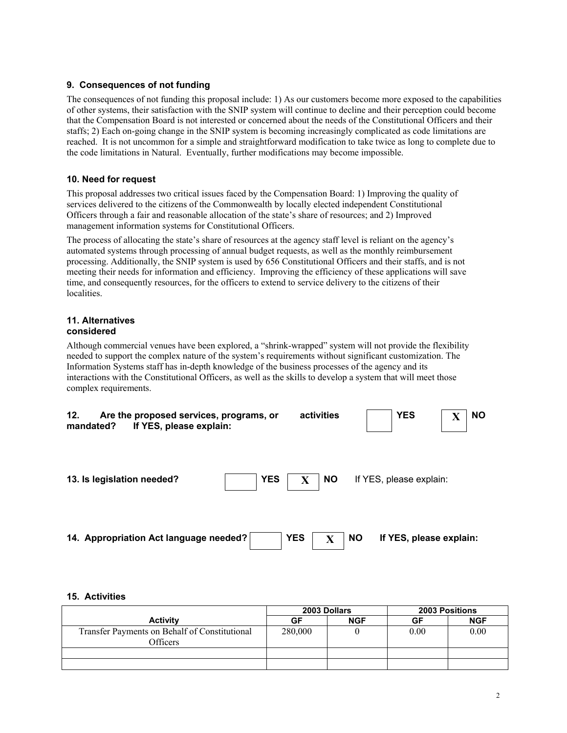## **9. Consequences of not funding**

The consequences of not funding this proposal include: 1) As our customers become more exposed to the capabilities of other systems, their satisfaction with the SNIP system will continue to decline and their perception could become that the Compensation Board is not interested or concerned about the needs of the Constitutional Officers and their staffs; 2) Each on-going change in the SNIP system is becoming increasingly complicated as code limitations are reached. It is not uncommon for a simple and straightforward modification to take twice as long to complete due to the code limitations in Natural. Eventually, further modifications may become impossible.

## **10. Need for request**

This proposal addresses two critical issues faced by the Compensation Board: 1) Improving the quality of services delivered to the citizens of the Commonwealth by locally elected independent Constitutional Officers through a fair and reasonable allocation of the state's share of resources; and 2) Improved management information systems for Constitutional Officers.

The process of allocating the state's share of resources at the agency staff level is reliant on the agency's automated systems through processing of annual budget requests, as well as the monthly reimbursement processing. Additionally, the SNIP system is used by 656 Constitutional Officers and their staffs, and is not meeting their needs for information and efficiency. Improving the efficiency of these applications will save time, and consequently resources, for the officers to extend to service delivery to the citizens of their localities.

#### **11. Alternatives considered**

Although commercial venues have been explored, a "shrink-wrapped" system will not provide the flexibility needed to support the complex nature of the system's requirements without significant customization. The Information Systems staff has in-depth knowledge of the business processes of the agency and its interactions with the Constitutional Officers, as well as the skills to develop a system that will meet those complex requirements.

| 12. | Are the proposed services, programs, or<br>If YES, please explain:<br>mandated? |            |             | activities |           | <b>YES</b>              | <b>NO</b> |
|-----|---------------------------------------------------------------------------------|------------|-------------|------------|-----------|-------------------------|-----------|
|     | 13. Is legislation needed?                                                      | <b>YES</b> | $\mathbf X$ | <b>NO</b>  |           | If YES, please explain: |           |
|     | 14. Appropriation Act language needed?                                          |            | <b>YES</b>  | Х          | <b>NO</b> | If YES, please explain: |           |

## **15. Activities**

|                                                           |         | 2003 Dollars | <b>2003 Positions</b> |            |  |
|-----------------------------------------------------------|---------|--------------|-----------------------|------------|--|
| <b>Activity</b>                                           | GF      | <b>NGF</b>   | GF                    | <b>NGF</b> |  |
| Transfer Payments on Behalf of Constitutional<br>Officers | 280,000 |              | 0.00                  | 0.00       |  |
|                                                           |         |              |                       |            |  |
|                                                           |         |              |                       |            |  |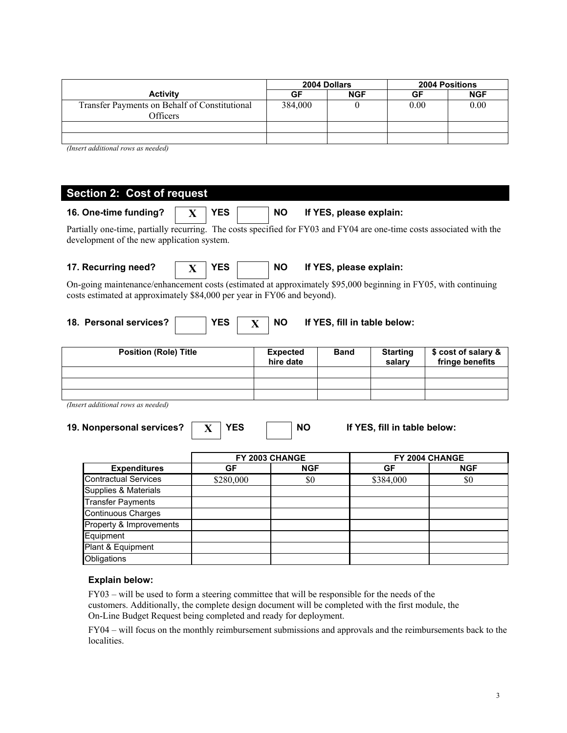|                                                           |         | 2004 Dollars | <b>2004 Positions</b> |            |  |
|-----------------------------------------------------------|---------|--------------|-----------------------|------------|--|
| <b>Activity</b>                                           | GF      | <b>NGF</b>   | GF                    | <b>NGF</b> |  |
| Transfer Payments on Behalf of Constitutional<br>Officers | 384,000 |              | 0.00                  | 0.00       |  |
|                                                           |         |              |                       |            |  |
|                                                           |         |              |                       |            |  |

*(Insert additional rows as needed)* 

| <b>Section 2: Cost of request</b>                                                                                                                                                         |              |            |             |                                      |                                             |  |  |                              |                                        |
|-------------------------------------------------------------------------------------------------------------------------------------------------------------------------------------------|--------------|------------|-------------|--------------------------------------|---------------------------------------------|--|--|------------------------------|----------------------------------------|
| 16. One-time funding?                                                                                                                                                                     | $\mathbf{X}$ | <b>YES</b> |             | <b>NO</b>                            |                                             |  |  | If YES, please explain:      |                                        |
| Partially one-time, partially recurring. The costs specified for FY03 and FY04 are one-time costs associated with the<br>development of the new application system.                       |              |            |             |                                      |                                             |  |  |                              |                                        |
| 17. Recurring need?                                                                                                                                                                       | $\mathbf{X}$ | <b>YES</b> |             | <b>NO</b><br>If YES, please explain: |                                             |  |  |                              |                                        |
| On-going maintenance/enhancement costs (estimated at approximately \$95,000 beginning in FY05, with continuing<br>costs estimated at approximately \$84,000 per year in FY06 and beyond). |              |            |             |                                      |                                             |  |  |                              |                                        |
| 18. Personal services?                                                                                                                                                                    |              | <b>YES</b> | $\mathbf X$ | <b>NO</b>                            |                                             |  |  | If YES, fill in table below: |                                        |
| <b>Position (Role) Title</b>                                                                                                                                                              |              |            |             |                                      | <b>Expected</b><br><b>Band</b><br>hire date |  |  | <b>Starting</b><br>salary    | \$ cost of salary &<br>fringe benefits |
|                                                                                                                                                                                           |              |            |             |                                      |                                             |  |  |                              |                                        |
|                                                                                                                                                                                           |              |            |             |                                      |                                             |  |  |                              |                                        |
|                                                                                                                                                                                           |              |            |             |                                      |                                             |  |  |                              |                                        |
| (Insert additional rows as needed)<br><b>YES</b><br><b>NO</b><br>19. Nonpersonal services?<br>If YES, fill in table below:<br>X                                                           |              |            |             |                                      |                                             |  |  |                              |                                        |
|                                                                                                                                                                                           |              |            |             | FY 2003 CHANGE                       |                                             |  |  |                              | FY 2004 CHANGE                         |
| <b>Expenditures</b>                                                                                                                                                                       |              | <b>GF</b>  |             |                                      | <b>NGF</b>                                  |  |  | <b>GF</b>                    | <b>NGF</b>                             |
| <b>Contractual Services</b>                                                                                                                                                               |              | \$280,000  |             |                                      | \$0                                         |  |  | \$384,000                    | \$0                                    |
| Supplies & Materials                                                                                                                                                                      |              |            |             |                                      |                                             |  |  |                              |                                        |
| <b>Transfer Payments</b>                                                                                                                                                                  |              |            |             |                                      |                                             |  |  |                              |                                        |
| Continuous Charges                                                                                                                                                                        |              |            |             |                                      |                                             |  |  |                              |                                        |
| Property & Improvements                                                                                                                                                                   |              |            |             |                                      |                                             |  |  |                              |                                        |
| Equipment                                                                                                                                                                                 |              |            |             |                                      |                                             |  |  |                              |                                        |
| Plant & Equipment                                                                                                                                                                         |              |            |             |                                      |                                             |  |  |                              |                                        |

## **Explain below:**

**Obligations** 

FY03 – will be used to form a steering committee that will be responsible for the needs of the customers. Additionally, the complete design document will be completed with the first module, the On-Line Budget Request being completed and ready for deployment.

FY04 – will focus on the monthly reimbursement submissions and approvals and the reimbursements back to the localities.